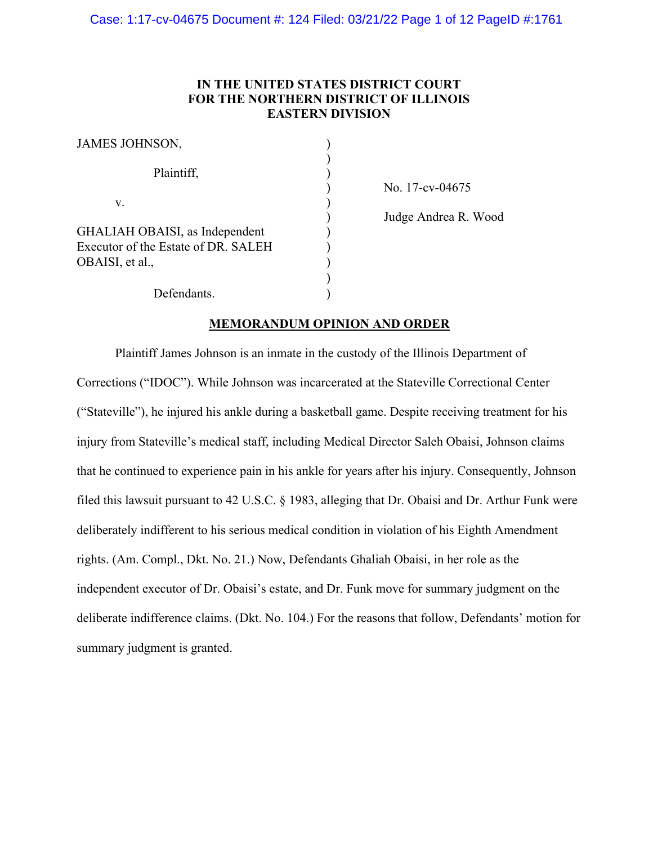# **IN THE UNITED STATES DISTRICT COURT FOR THE NORTHERN DISTRICT OF ILLINOIS EASTERN DIVISION**

| <b>JAMES JOHNSON,</b>                                                                    |  |
|------------------------------------------------------------------------------------------|--|
| Plaintiff,                                                                               |  |
| v.                                                                                       |  |
| GHALIAH OBAISI, as Independent<br>Executor of the Estate of DR. SALEH<br>OBAISI, et al., |  |
| Defendants.                                                                              |  |

) No. 17-cv-04675

) Judge Andrea R. Wood

# **MEMORANDUM OPINION AND ORDER**

Plaintiff James Johnson is an inmate in the custody of the Illinois Department of Corrections ("IDOC"). While Johnson was incarcerated at the Stateville Correctional Center ("Stateville"), he injured his ankle during a basketball game. Despite receiving treatment for his injury from Stateville's medical staff, including Medical Director Saleh Obaisi, Johnson claims that he continued to experience pain in his ankle for years after his injury. Consequently, Johnson filed this lawsuit pursuant to 42 U.S.C. § 1983, alleging that Dr. Obaisi and Dr. Arthur Funk were deliberately indifferent to his serious medical condition in violation of his Eighth Amendment rights. (Am. Compl., Dkt. No. 21.) Now, Defendants Ghaliah Obaisi, in her role as the independent executor of Dr. Obaisi's estate, and Dr. Funk move for summary judgment on the deliberate indifference claims. (Dkt. No. 104.) For the reasons that follow, Defendants' motion for summary judgment is granted.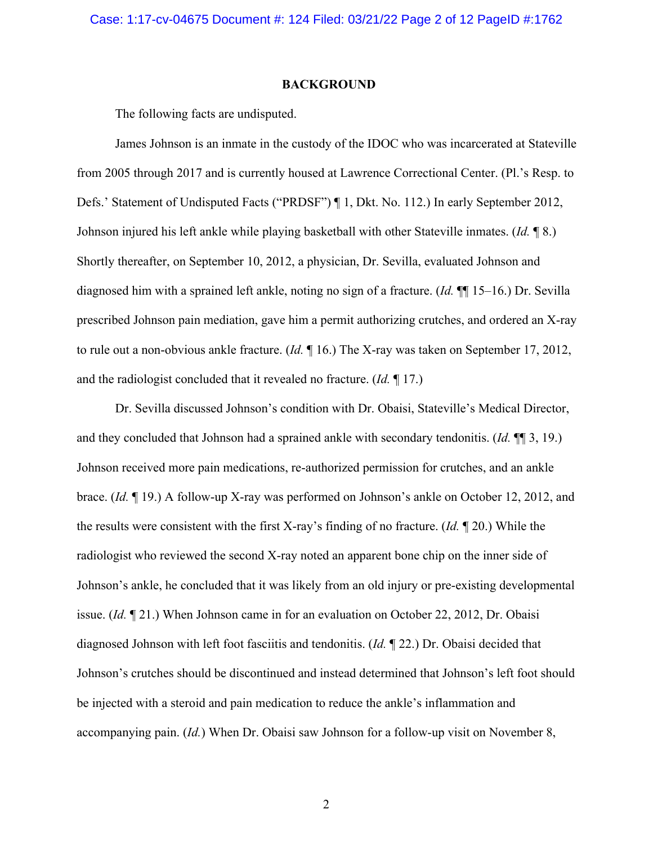### **BACKGROUND**

The following facts are undisputed.

James Johnson is an inmate in the custody of the IDOC who was incarcerated at Stateville from 2005 through 2017 and is currently housed at Lawrence Correctional Center. (Pl.'s Resp. to Defs.' Statement of Undisputed Facts ("PRDSF") ¶ 1, Dkt. No. 112.) In early September 2012, Johnson injured his left ankle while playing basketball with other Stateville inmates. (*Id.* ¶ 8.) Shortly thereafter, on September 10, 2012, a physician, Dr. Sevilla, evaluated Johnson and diagnosed him with a sprained left ankle, noting no sign of a fracture. (*Id.* ¶¶ 15–16.) Dr. Sevilla prescribed Johnson pain mediation, gave him a permit authorizing crutches, and ordered an X-ray to rule out a non-obvious ankle fracture. (*Id.* ¶ 16.) The X-ray was taken on September 17, 2012, and the radiologist concluded that it revealed no fracture. (*Id.* ¶ 17.)

Dr. Sevilla discussed Johnson's condition with Dr. Obaisi, Stateville's Medical Director, and they concluded that Johnson had a sprained ankle with secondary tendonitis. (*Id.* ¶¶ 3, 19.) Johnson received more pain medications, re-authorized permission for crutches, and an ankle brace. (*Id.* ¶ 19.) A follow-up X-ray was performed on Johnson's ankle on October 12, 2012, and the results were consistent with the first X-ray's finding of no fracture. (*Id.* ¶ 20.) While the radiologist who reviewed the second X-ray noted an apparent bone chip on the inner side of Johnson's ankle, he concluded that it was likely from an old injury or pre-existing developmental issue. (*Id.* ¶ 21.) When Johnson came in for an evaluation on October 22, 2012, Dr. Obaisi diagnosed Johnson with left foot fasciitis and tendonitis. (*Id.* ¶ 22.) Dr. Obaisi decided that Johnson's crutches should be discontinued and instead determined that Johnson's left foot should be injected with a steroid and pain medication to reduce the ankle's inflammation and accompanying pain. (*Id.*) When Dr. Obaisi saw Johnson for a follow-up visit on November 8,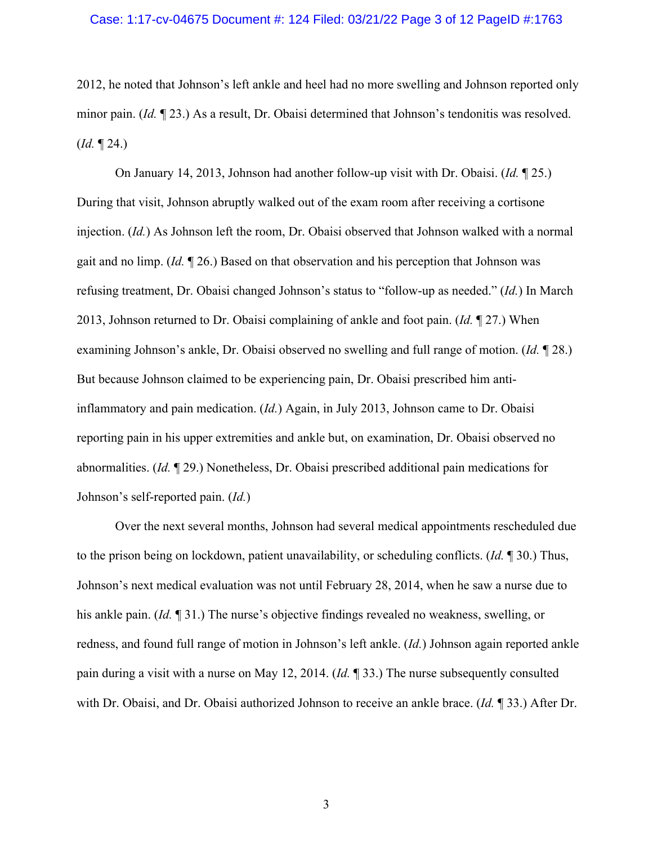### Case: 1:17-cv-04675 Document #: 124 Filed: 03/21/22 Page 3 of 12 PageID #:1763

2012, he noted that Johnson's left ankle and heel had no more swelling and Johnson reported only minor pain. (*Id.* ¶ 23.) As a result, Dr. Obaisi determined that Johnson's tendonitis was resolved. (*Id.* ¶ 24.)

On January 14, 2013, Johnson had another follow-up visit with Dr. Obaisi. (*Id.* ¶ 25.) During that visit, Johnson abruptly walked out of the exam room after receiving a cortisone injection. (*Id.*) As Johnson left the room, Dr. Obaisi observed that Johnson walked with a normal gait and no limp. (*Id.* ¶ 26.) Based on that observation and his perception that Johnson was refusing treatment, Dr. Obaisi changed Johnson's status to "follow-up as needed." (*Id.*) In March 2013, Johnson returned to Dr. Obaisi complaining of ankle and foot pain. (*Id.* ¶ 27.) When examining Johnson's ankle, Dr. Obaisi observed no swelling and full range of motion. (*Id.* ¶ 28.) But because Johnson claimed to be experiencing pain, Dr. Obaisi prescribed him antiinflammatory and pain medication. (*Id.*) Again, in July 2013, Johnson came to Dr. Obaisi reporting pain in his upper extremities and ankle but, on examination, Dr. Obaisi observed no abnormalities. (*Id.* ¶ 29.) Nonetheless, Dr. Obaisi prescribed additional pain medications for Johnson's self-reported pain. (*Id.*)

Over the next several months, Johnson had several medical appointments rescheduled due to the prison being on lockdown, patient unavailability, or scheduling conflicts. (*Id.* ¶ 30.) Thus, Johnson's next medical evaluation was not until February 28, 2014, when he saw a nurse due to his ankle pain. (*Id.* ¶ 31.) The nurse's objective findings revealed no weakness, swelling, or redness, and found full range of motion in Johnson's left ankle. (*Id.*) Johnson again reported ankle pain during a visit with a nurse on May 12, 2014. (*Id.* ¶ 33.) The nurse subsequently consulted with Dr. Obaisi, and Dr. Obaisi authorized Johnson to receive an ankle brace. (*Id.* ¶ 33.) After Dr.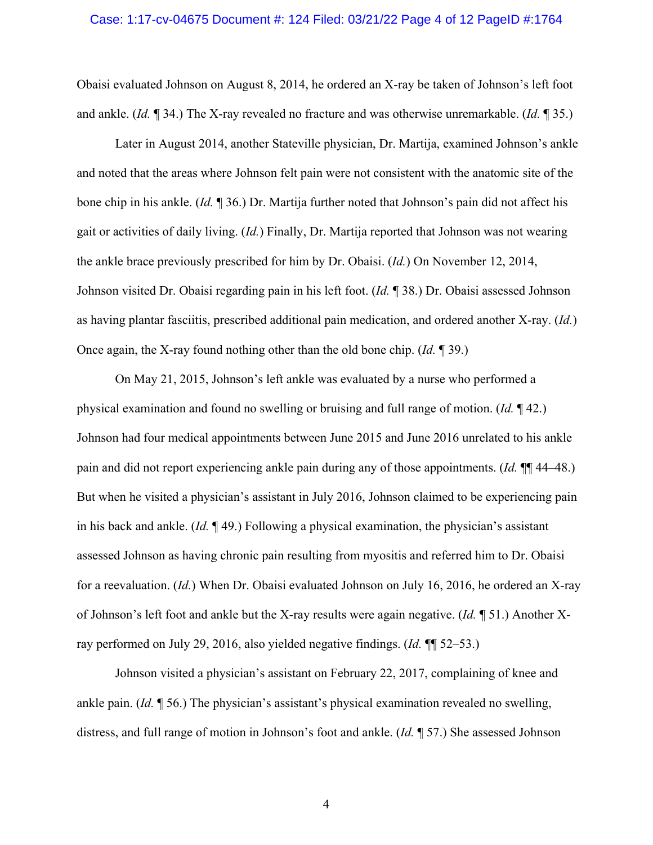### Case: 1:17-cv-04675 Document #: 124 Filed: 03/21/22 Page 4 of 12 PageID #:1764

Obaisi evaluated Johnson on August 8, 2014, he ordered an X-ray be taken of Johnson's left foot and ankle. (*Id.* ¶ 34.) The X-ray revealed no fracture and was otherwise unremarkable. (*Id.* ¶ 35.)

Later in August 2014, another Stateville physician, Dr. Martija, examined Johnson's ankle and noted that the areas where Johnson felt pain were not consistent with the anatomic site of the bone chip in his ankle. (*Id.* ¶ 36.) Dr. Martija further noted that Johnson's pain did not affect his gait or activities of daily living. (*Id.*) Finally, Dr. Martija reported that Johnson was not wearing the ankle brace previously prescribed for him by Dr. Obaisi. (*Id.*) On November 12, 2014, Johnson visited Dr. Obaisi regarding pain in his left foot. (*Id.* ¶ 38.) Dr. Obaisi assessed Johnson as having plantar fasciitis, prescribed additional pain medication, and ordered another X-ray. (*Id.*) Once again, the X-ray found nothing other than the old bone chip. (*Id.* ¶ 39.)

On May 21, 2015, Johnson's left ankle was evaluated by a nurse who performed a physical examination and found no swelling or bruising and full range of motion. (*Id.* ¶ 42.) Johnson had four medical appointments between June 2015 and June 2016 unrelated to his ankle pain and did not report experiencing ankle pain during any of those appointments. (*Id.* ¶¶ 44–48.) But when he visited a physician's assistant in July 2016, Johnson claimed to be experiencing pain in his back and ankle. (*Id.* ¶ 49.) Following a physical examination, the physician's assistant assessed Johnson as having chronic pain resulting from myositis and referred him to Dr. Obaisi for a reevaluation. (*Id.*) When Dr. Obaisi evaluated Johnson on July 16, 2016, he ordered an X-ray of Johnson's left foot and ankle but the X-ray results were again negative. (*Id.* ¶ 51.) Another Xray performed on July 29, 2016, also yielded negative findings. (*Id.* ¶¶ 52–53.)

Johnson visited a physician's assistant on February 22, 2017, complaining of knee and ankle pain. (*Id.* ¶ 56.) The physician's assistant's physical examination revealed no swelling, distress, and full range of motion in Johnson's foot and ankle. (*Id.* ¶ 57.) She assessed Johnson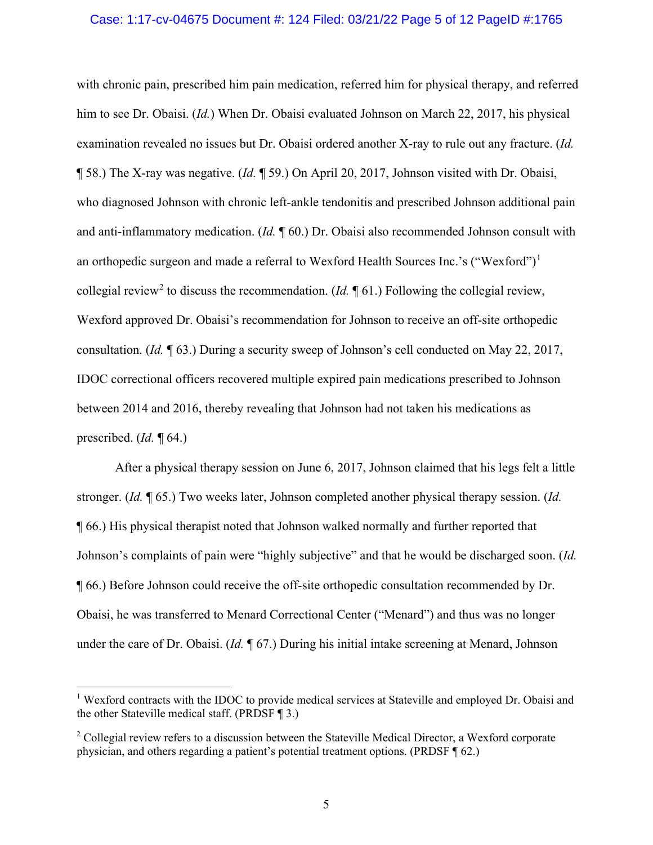### Case: 1:17-cv-04675 Document #: 124 Filed: 03/21/22 Page 5 of 12 PageID #:1765

with chronic pain, prescribed him pain medication, referred him for physical therapy, and referred him to see Dr. Obaisi. (*Id.*) When Dr. Obaisi evaluated Johnson on March 22, 2017, his physical examination revealed no issues but Dr. Obaisi ordered another X-ray to rule out any fracture. (*Id.* ¶ 58.) The X-ray was negative. (*Id.* ¶ 59.) On April 20, 2017, Johnson visited with Dr. Obaisi, who diagnosed Johnson with chronic left-ankle tendonitis and prescribed Johnson additional pain and anti-inflammatory medication. (*Id.* ¶ 60.) Dr. Obaisi also recommended Johnson consult with an orthopedic surgeon and made a referral to Wexford Health Sources Inc.'s ("Wexford")<sup>[1](#page-4-0)</sup> collegial review<sup>[2](#page-4-1)</sup> to discuss the recommendation. (*Id.*  $\llbracket 61$ .) Following the collegial review, Wexford approved Dr. Obaisi's recommendation for Johnson to receive an off-site orthopedic consultation. (*Id.* ¶ 63.) During a security sweep of Johnson's cell conducted on May 22, 2017, IDOC correctional officers recovered multiple expired pain medications prescribed to Johnson between 2014 and 2016, thereby revealing that Johnson had not taken his medications as prescribed. (*Id.* ¶ 64.)

After a physical therapy session on June 6, 2017, Johnson claimed that his legs felt a little stronger. (*Id.* ¶ 65.) Two weeks later, Johnson completed another physical therapy session. (*Id.* ¶ 66.) His physical therapist noted that Johnson walked normally and further reported that Johnson's complaints of pain were "highly subjective" and that he would be discharged soon. (*Id.* ¶ 66.) Before Johnson could receive the off-site orthopedic consultation recommended by Dr. Obaisi, he was transferred to Menard Correctional Center ("Menard") and thus was no longer under the care of Dr. Obaisi. (*Id.* ¶ 67.) During his initial intake screening at Menard, Johnson

<span id="page-4-0"></span><sup>&</sup>lt;sup>1</sup> Wexford contracts with the IDOC to provide medical services at Stateville and employed Dr. Obaisi and the other Stateville medical staff. (PRDSF ¶ 3.)

<span id="page-4-1"></span><sup>&</sup>lt;sup>2</sup> Collegial review refers to a discussion between the Stateville Medical Director, a Wexford corporate physician, and others regarding a patient's potential treatment options. (PRDSF ¶ 62.)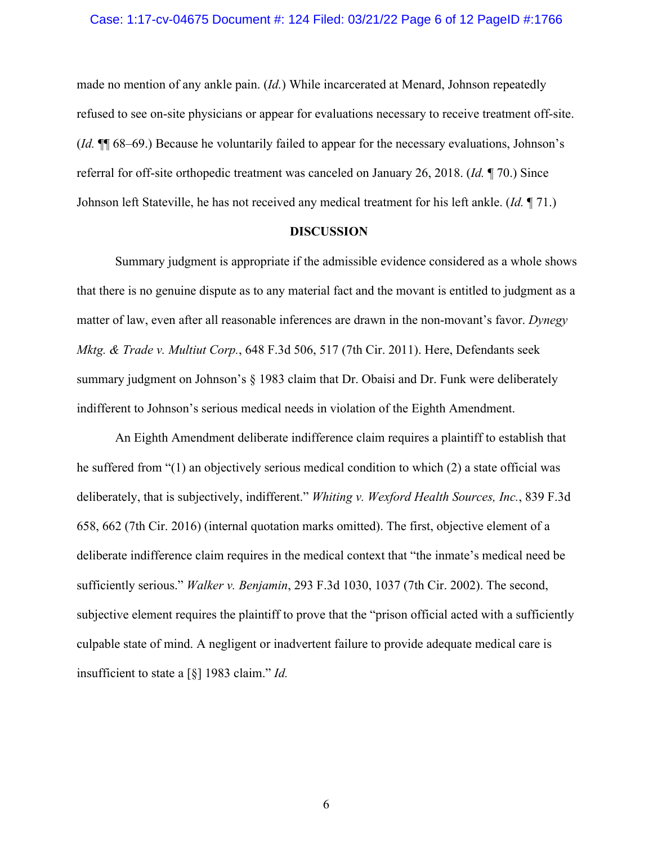made no mention of any ankle pain. (*Id.*) While incarcerated at Menard, Johnson repeatedly refused to see on-site physicians or appear for evaluations necessary to receive treatment off-site. (*Id.* ¶¶ 68–69.) Because he voluntarily failed to appear for the necessary evaluations, Johnson's referral for off-site orthopedic treatment was canceled on January 26, 2018. (*Id.* ¶ 70.) Since Johnson left Stateville, he has not received any medical treatment for his left ankle. (*Id.* ¶ 71.)

### **DISCUSSION**

Summary judgment is appropriate if the admissible evidence considered as a whole shows that there is no genuine dispute as to any material fact and the movant is entitled to judgment as a matter of law, even after all reasonable inferences are drawn in the non-movant's favor. *Dynegy Mktg. & Trade v. Multiut Corp.*, 648 F.3d 506, 517 (7th Cir. 2011). Here, Defendants seek summary judgment on Johnson's § 1983 claim that Dr. Obaisi and Dr. Funk were deliberately indifferent to Johnson's serious medical needs in violation of the Eighth Amendment.

An Eighth Amendment deliberate indifference claim requires a plaintiff to establish that he suffered from "(1) an objectively serious medical condition to which (2) a state official was deliberately, that is subjectively, indifferent." *Whiting v. Wexford Health Sources, Inc.*, 839 F.3d 658, 662 (7th Cir. 2016) (internal quotation marks omitted). The first, objective element of a deliberate indifference claim requires in the medical context that "the inmate's medical need be sufficiently serious." *Walker v. Benjamin*, 293 F.3d 1030, 1037 (7th Cir. 2002). The second, subjective element requires the plaintiff to prove that the "prison official acted with a sufficiently culpable state of mind. A negligent or inadvertent failure to provide adequate medical care is insufficient to state a [§] 1983 claim." *Id.*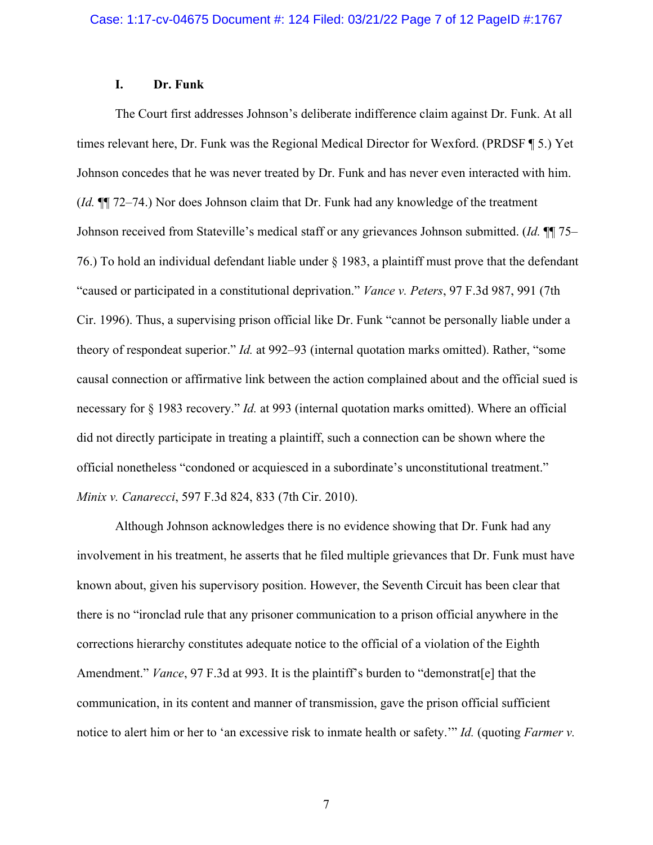# **I. Dr. Funk**

The Court first addresses Johnson's deliberate indifference claim against Dr. Funk. At all times relevant here, Dr. Funk was the Regional Medical Director for Wexford. (PRDSF ¶ 5.) Yet Johnson concedes that he was never treated by Dr. Funk and has never even interacted with him. (*Id.* ¶¶ 72–74.) Nor does Johnson claim that Dr. Funk had any knowledge of the treatment Johnson received from Stateville's medical staff or any grievances Johnson submitted. (*Id.* ¶¶ 75– 76.) To hold an individual defendant liable under § 1983, a plaintiff must prove that the defendant "caused or participated in a constitutional deprivation." *Vance v. Peters*, 97 F.3d 987, 991 (7th Cir. 1996). Thus, a supervising prison official like Dr. Funk "cannot be personally liable under a theory of respondeat superior." *Id.* at 992–93 (internal quotation marks omitted). Rather, "some causal connection or affirmative link between the action complained about and the official sued is necessary for § 1983 recovery." *Id.* at 993 (internal quotation marks omitted). Where an official did not directly participate in treating a plaintiff, such a connection can be shown where the official nonetheless "condoned or acquiesced in a subordinate's unconstitutional treatment." *Minix v. Canarecci*, 597 F.3d 824, 833 (7th Cir. 2010).

Although Johnson acknowledges there is no evidence showing that Dr. Funk had any involvement in his treatment, he asserts that he filed multiple grievances that Dr. Funk must have known about, given his supervisory position. However, the Seventh Circuit has been clear that there is no "ironclad rule that any prisoner communication to a prison official anywhere in the corrections hierarchy constitutes adequate notice to the official of a violation of the Eighth Amendment." *Vance*, 97 F.3d at 993. It is the plaintiff's burden to "demonstrat[e] that the communication, in its content and manner of transmission, gave the prison official sufficient notice to alert him or her to 'an excessive risk to inmate health or safety.'" *Id.* (quoting *Farmer v.*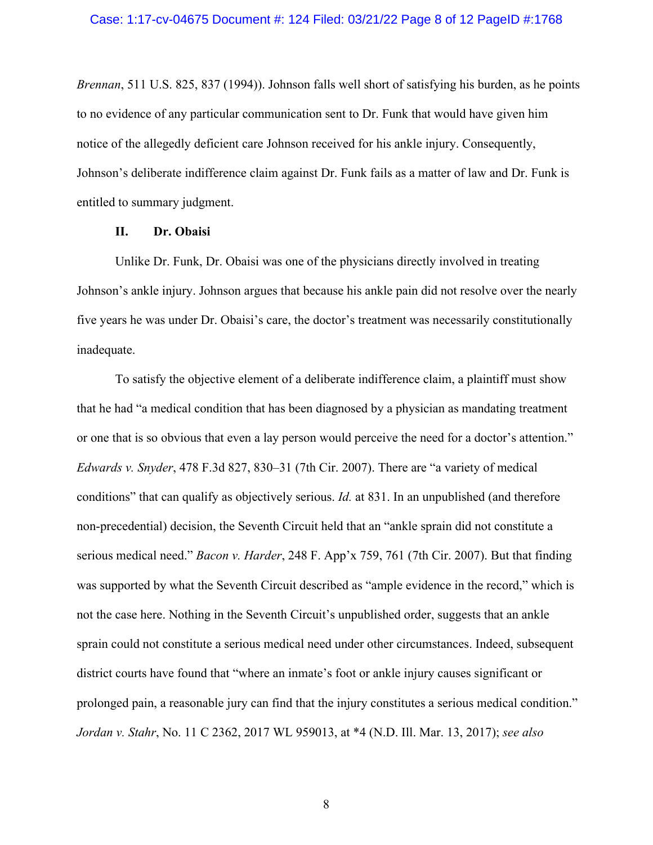*Brennan*, 511 U.S. 825, 837 (1994)). Johnson falls well short of satisfying his burden, as he points to no evidence of any particular communication sent to Dr. Funk that would have given him notice of the allegedly deficient care Johnson received for his ankle injury. Consequently, Johnson's deliberate indifference claim against Dr. Funk fails as a matter of law and Dr. Funk is entitled to summary judgment.

### **II. Dr. Obaisi**

Unlike Dr. Funk, Dr. Obaisi was one of the physicians directly involved in treating Johnson's ankle injury. Johnson argues that because his ankle pain did not resolve over the nearly five years he was under Dr. Obaisi's care, the doctor's treatment was necessarily constitutionally inadequate.

To satisfy the objective element of a deliberate indifference claim, a plaintiff must show that he had "a medical condition that has been diagnosed by a physician as mandating treatment or one that is so obvious that even a lay person would perceive the need for a doctor's attention." *Edwards v. Snyder*, 478 F.3d 827, 830–31 (7th Cir. 2007). There are "a variety of medical conditions" that can qualify as objectively serious. *Id.* at 831. In an unpublished (and therefore non-precedential) decision, the Seventh Circuit held that an "ankle sprain did not constitute a serious medical need." *Bacon v. Harder*, 248 F. App'x 759, 761 (7th Cir. 2007). But that finding was supported by what the Seventh Circuit described as "ample evidence in the record," which is not the case here. Nothing in the Seventh Circuit's unpublished order, suggests that an ankle sprain could not constitute a serious medical need under other circumstances. Indeed, subsequent district courts have found that "where an inmate's foot or ankle injury causes significant or prolonged pain, a reasonable jury can find that the injury constitutes a serious medical condition." *Jordan v. Stahr*, No. 11 C 2362, 2017 WL 959013, at \*4 (N.D. Ill. Mar. 13, 2017); *see also*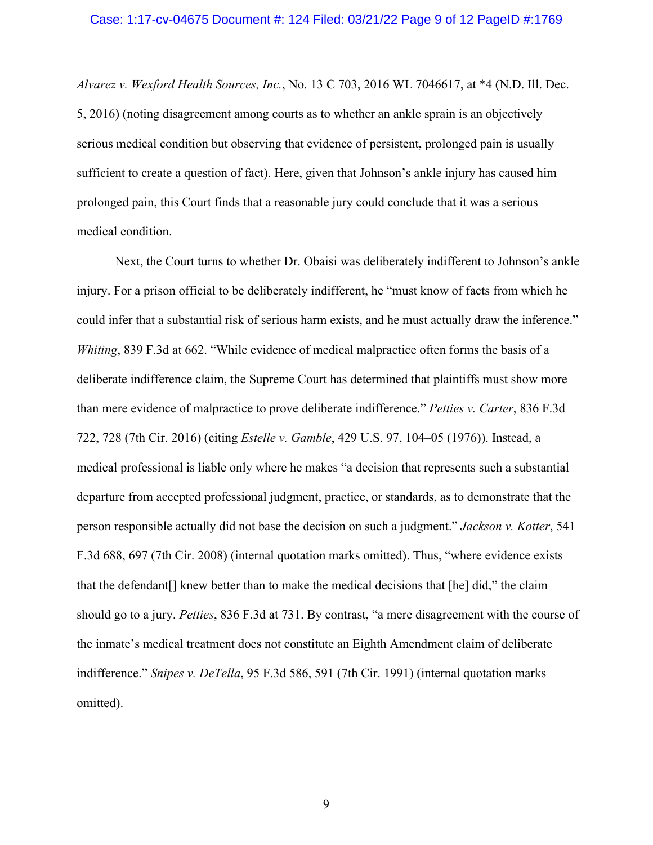#### Case: 1:17-cv-04675 Document #: 124 Filed: 03/21/22 Page 9 of 12 PageID #:1769

*Alvarez v. Wexford Health Sources, Inc.*, No. 13 C 703, 2016 WL 7046617, at \*4 (N.D. Ill. Dec. 5, 2016) (noting disagreement among courts as to whether an ankle sprain is an objectively serious medical condition but observing that evidence of persistent, prolonged pain is usually sufficient to create a question of fact). Here, given that Johnson's ankle injury has caused him prolonged pain, this Court finds that a reasonable jury could conclude that it was a serious medical condition.

Next, the Court turns to whether Dr. Obaisi was deliberately indifferent to Johnson's ankle injury. For a prison official to be deliberately indifferent, he "must know of facts from which he could infer that a substantial risk of serious harm exists, and he must actually draw the inference." *Whiting*, 839 F.3d at 662. "While evidence of medical malpractice often forms the basis of a deliberate indifference claim, the Supreme Court has determined that plaintiffs must show more than mere evidence of malpractice to prove deliberate indifference." *Petties v. Carter*, 836 F.3d 722, 728 (7th Cir. 2016) (citing *Estelle v. Gamble*, 429 U.S. 97, 104–05 (1976)). Instead, a medical professional is liable only where he makes "a decision that represents such a substantial departure from accepted professional judgment, practice, or standards, as to demonstrate that the person responsible actually did not base the decision on such a judgment." *Jackson v. Kotter*, 541 F.3d 688, 697 (7th Cir. 2008) (internal quotation marks omitted). Thus, "where evidence exists that the defendant[] knew better than to make the medical decisions that [he] did," the claim should go to a jury. *Petties*, 836 F.3d at 731. By contrast, "a mere disagreement with the course of the inmate's medical treatment does not constitute an Eighth Amendment claim of deliberate indifference." *Snipes v. DeTella*, 95 F.3d 586, 591 (7th Cir. 1991) (internal quotation marks omitted).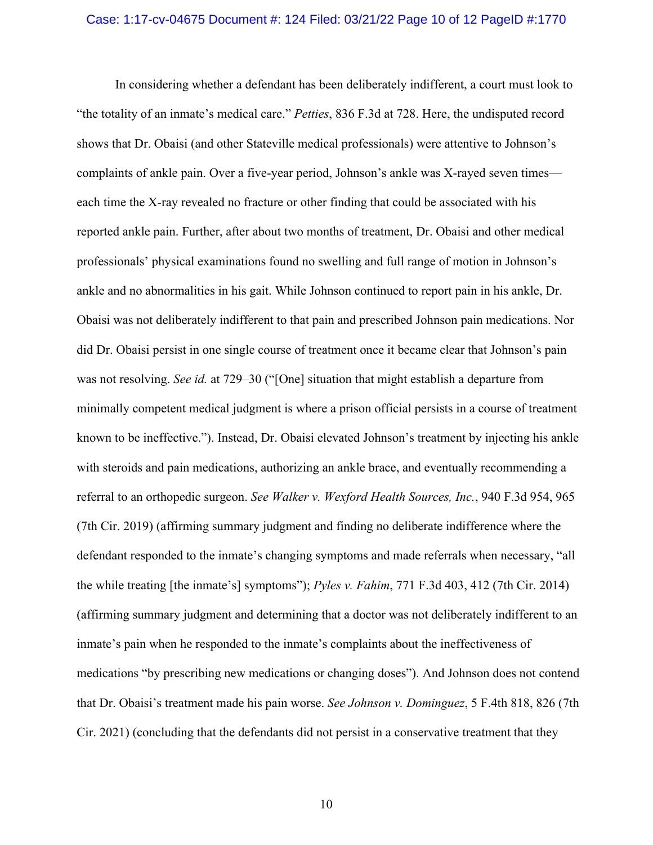### Case: 1:17-cv-04675 Document #: 124 Filed: 03/21/22 Page 10 of 12 PageID #:1770

In considering whether a defendant has been deliberately indifferent, a court must look to "the totality of an inmate's medical care." *Petties*, 836 F.3d at 728. Here, the undisputed record shows that Dr. Obaisi (and other Stateville medical professionals) were attentive to Johnson's complaints of ankle pain. Over a five-year period, Johnson's ankle was X-rayed seven times each time the X-ray revealed no fracture or other finding that could be associated with his reported ankle pain. Further, after about two months of treatment, Dr. Obaisi and other medical professionals' physical examinations found no swelling and full range of motion in Johnson's ankle and no abnormalities in his gait. While Johnson continued to report pain in his ankle, Dr. Obaisi was not deliberately indifferent to that pain and prescribed Johnson pain medications. Nor did Dr. Obaisi persist in one single course of treatment once it became clear that Johnson's pain was not resolving. *See id.* at 729–30 ("[One] situation that might establish a departure from minimally competent medical judgment is where a prison official persists in a course of treatment known to be ineffective."). Instead, Dr. Obaisi elevated Johnson's treatment by injecting his ankle with steroids and pain medications, authorizing an ankle brace, and eventually recommending a referral to an orthopedic surgeon. *See Walker v. Wexford Health Sources, Inc.*, 940 F.3d 954, 965 (7th Cir. 2019) (affirming summary judgment and finding no deliberate indifference where the defendant responded to the inmate's changing symptoms and made referrals when necessary, "all the while treating [the inmate's] symptoms"); *Pyles v. Fahim*, 771 F.3d 403, 412 (7th Cir. 2014) (affirming summary judgment and determining that a doctor was not deliberately indifferent to an inmate's pain when he responded to the inmate's complaints about the ineffectiveness of medications "by prescribing new medications or changing doses"). And Johnson does not contend that Dr. Obaisi's treatment made his pain worse. *See Johnson v. Dominguez*, 5 F.4th 818, 826 (7th Cir. 2021) (concluding that the defendants did not persist in a conservative treatment that they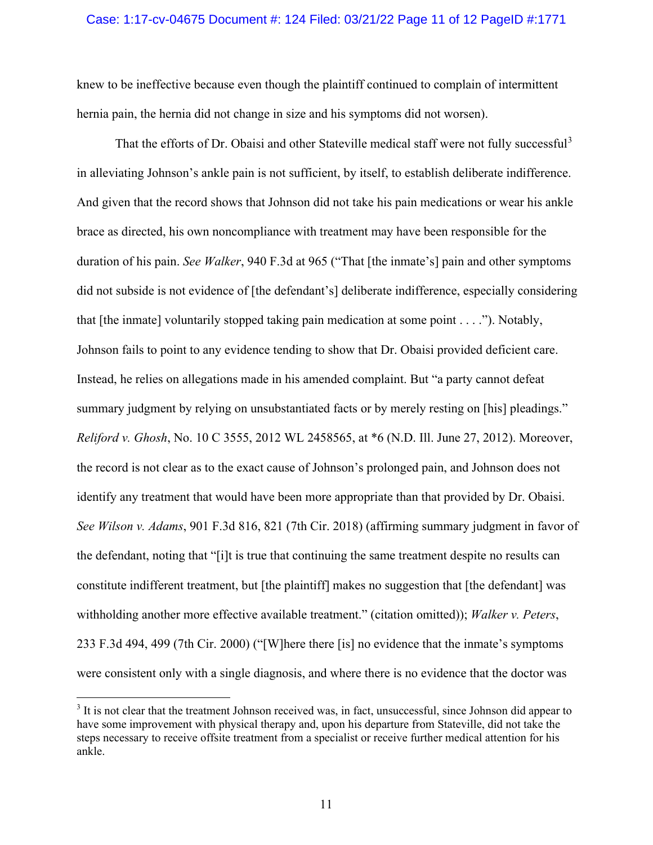### Case: 1:17-cv-04675 Document #: 124 Filed: 03/21/22 Page 11 of 12 PageID #:1771

knew to be ineffective because even though the plaintiff continued to complain of intermittent hernia pain, the hernia did not change in size and his symptoms did not worsen).

That the efforts of Dr. Obaisi and other Stateville medical staff were not fully successful<sup>[3](#page-10-0)</sup> in alleviating Johnson's ankle pain is not sufficient, by itself, to establish deliberate indifference. And given that the record shows that Johnson did not take his pain medications or wear his ankle brace as directed, his own noncompliance with treatment may have been responsible for the duration of his pain. *See Walker*, 940 F.3d at 965 ("That [the inmate's] pain and other symptoms did not subside is not evidence of [the defendant's] deliberate indifference, especially considering that [the inmate] voluntarily stopped taking pain medication at some point  $\dots$  ."). Notably, Johnson fails to point to any evidence tending to show that Dr. Obaisi provided deficient care. Instead, he relies on allegations made in his amended complaint. But "a party cannot defeat summary judgment by relying on unsubstantiated facts or by merely resting on [his] pleadings." *Reliford v. Ghosh*, No. 10 C 3555, 2012 WL 2458565, at \*6 (N.D. Ill. June 27, 2012). Moreover, the record is not clear as to the exact cause of Johnson's prolonged pain, and Johnson does not identify any treatment that would have been more appropriate than that provided by Dr. Obaisi. *See Wilson v. Adams*, 901 F.3d 816, 821 (7th Cir. 2018) (affirming summary judgment in favor of the defendant, noting that "[i]t is true that continuing the same treatment despite no results can constitute indifferent treatment, but [the plaintiff] makes no suggestion that [the defendant] was withholding another more effective available treatment." (citation omitted)); *Walker v. Peters*, 233 F.3d 494, 499 (7th Cir. 2000) ("[W]here there [is] no evidence that the inmate's symptoms were consistent only with a single diagnosis, and where there is no evidence that the doctor was

<span id="page-10-0"></span><sup>&</sup>lt;sup>3</sup> It is not clear that the treatment Johnson received was, in fact, unsuccessful, since Johnson did appear to have some improvement with physical therapy and, upon his departure from Stateville, did not take the steps necessary to receive offsite treatment from a specialist or receive further medical attention for his ankle.